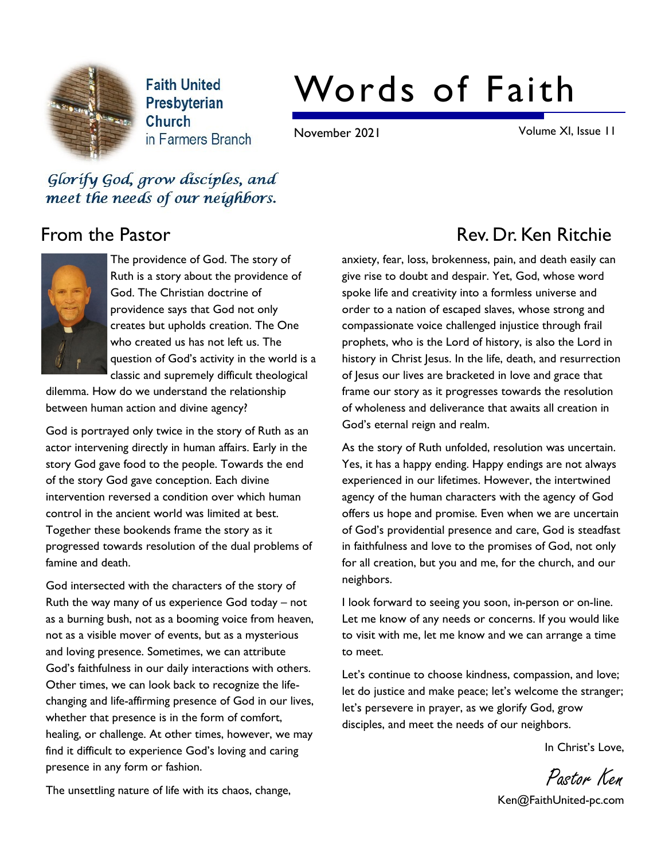

**Faith United** Presbyterian Church in Farmers Branch

# Words of Faith

November 2021 Volume XI, Issue 11

Glorify God, grow disciples, and meet the needs of our neighbors.



The providence of God. The story of Ruth is a story about the providence of God. The Christian doctrine of providence says that God not only creates but upholds creation. The One who created us has not left us. The question of God's activity in the world is a classic and supremely difficult theological

dilemma. How do we understand the relationship between human action and divine agency?

God is portrayed only twice in the story of Ruth as an actor intervening directly in human affairs. Early in the story God gave food to the people. Towards the end of the story God gave conception. Each divine intervention reversed a condition over which human control in the ancient world was limited at best. Together these bookends frame the story as it progressed towards resolution of the dual problems of famine and death.

God intersected with the characters of the story of Ruth the way many of us experience God today – not as a burning bush, not as a booming voice from heaven, not as a visible mover of events, but as a mysterious and loving presence. Sometimes, we can attribute God's faithfulness in our daily interactions with others. Other times, we can look back to recognize the lifechanging and life-affirming presence of God in our lives, whether that presence is in the form of comfort, healing, or challenge. At other times, however, we may find it difficult to experience God's loving and caring presence in any form or fashion.

## From the Pastor **Rev. Dr. Ken Ritchie**

anxiety, fear, loss, brokenness, pain, and death easily can give rise to doubt and despair. Yet, God, whose word spoke life and creativity into a formless universe and order to a nation of escaped slaves, whose strong and compassionate voice challenged injustice through frail prophets, who is the Lord of history, is also the Lord in history in Christ Jesus. In the life, death, and resurrection of Jesus our lives are bracketed in love and grace that frame our story as it progresses towards the resolution of wholeness and deliverance that awaits all creation in God's eternal reign and realm.

As the story of Ruth unfolded, resolution was uncertain. Yes, it has a happy ending. Happy endings are not always experienced in our lifetimes. However, the intertwined agency of the human characters with the agency of God offers us hope and promise. Even when we are uncertain of God's providential presence and care, God is steadfast in faithfulness and love to the promises of God, not only for all creation, but you and me, for the church, and our neighbors.

I look forward to seeing you soon, in-person or on-line. Let me know of any needs or concerns. If you would like to visit with me, let me know and we can arrange a time to meet.

Let's continue to choose kindness, compassion, and love; let do justice and make peace; let's welcome the stranger; let's persevere in prayer, as we glorify God, grow disciples, and meet the needs of our neighbors.

In Christ's Love,

Pastor Ken Ken@FaithUnited-pc.com

The unsettling nature of life with its chaos, change,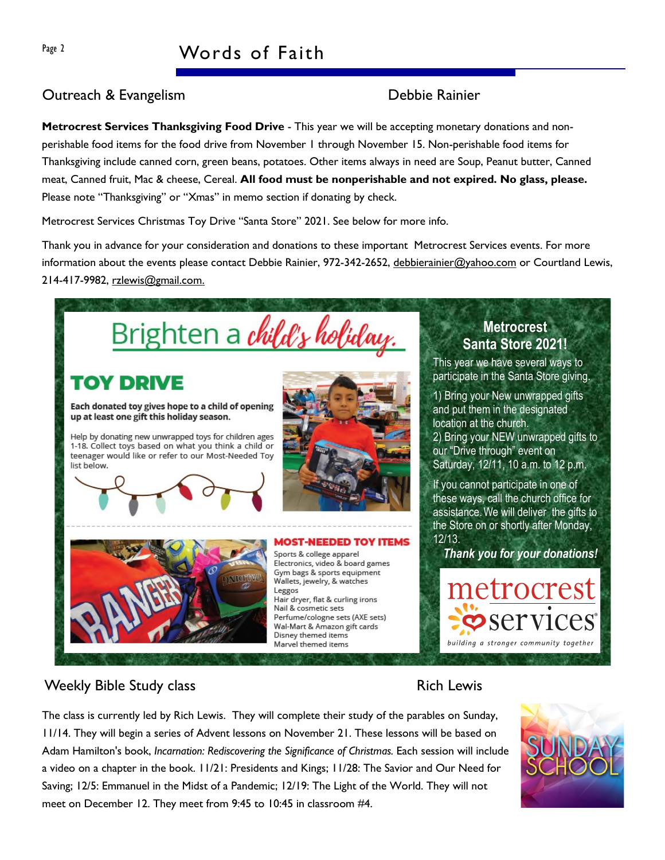## Page 2 Words of Faith

#### Outreach & Evangelism Debbie Rainier

Metrocrest Services Thanksgiving Food Drive - This year we will be accepting monetary donations and nonperishable food items for the food drive from November 1 through November 15. Non-perishable food items for Thanksgiving include canned corn, green beans, potatoes. Other items always in need are Soup, Peanut butter, Canned meat, Canned fruit, Mac & cheese, Cereal. All food must be nonperishable and not expired. No glass, please. Please note "Thanksgiving" or "Xmas" in memo section if donating by check.

Metrocrest Services Christmas Toy Drive "Santa Store" 2021. See below for more info.

Thank you in advance for your consideration and donations to these important Metrocrest Services events. For more information about the events please contact Debbie Rainier, 972-342-2652, debbierainier@yahoo.com or Courtland Lewis, 214-417-9982, rzlewis@gmail.com.



### Weekly Bible Study class **Rich Lewis** Rich Lewis

The class is currently led by Rich Lewis. They will complete their study of the parables on Sunday, 11/14. They will begin a series of Advent lessons on November 21. These lessons will be based on Adam Hamilton's book, Incarnation: Rediscovering the Significance of Christmas. Each session will include a video on a chapter in the book. 11/21: Presidents and Kings; 11/28: The Savior and Our Need for Saving; 12/5: Emmanuel in the Midst of a Pandemic; 12/19: The Light of the World. They will not meet on December 12. They meet from 9:45 to 10:45 in classroom #4.



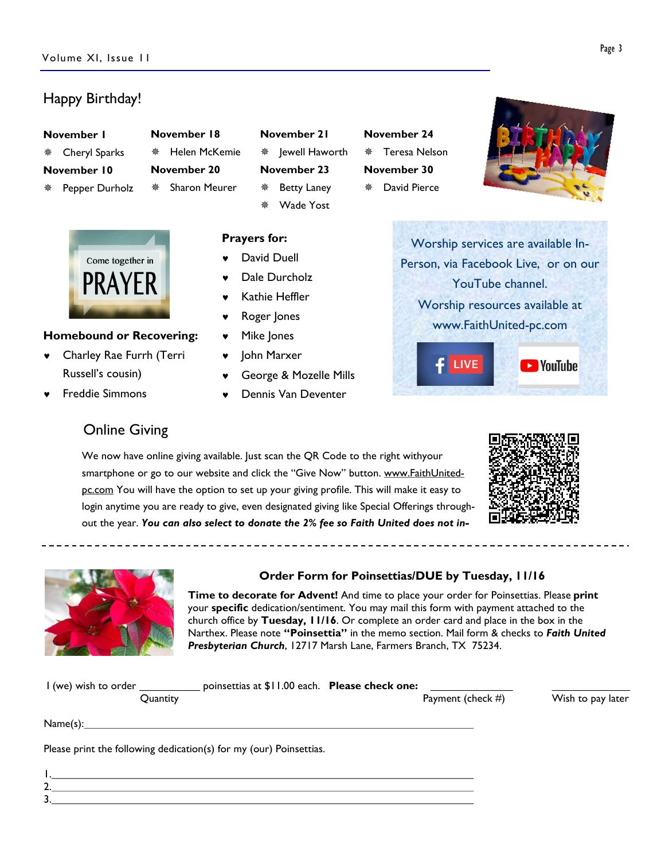#### Happy Birthday!

| November 1 |  |
|------------|--|
|------------|--|

- Cheryl Sparks November 10
- Pepper Durholz

| ※ Helen McKemie            |
|----------------------------|
| November 20                |
| <sup>※</sup> Sharon Meurer |
|                            |



#### Homebound or Recovering:

- © Charley Rae Furrh (Terri Russell's cousin)
- © Freddie Simmons

#### November 18 November 21  $*$  lewell Haworth November 23

Prayers for:

David Duell Dale Durcholz Kathie Heffler Roger Jones Mike Jones © John Marxer

**Betty Laney** Wade Yost

© George & Mozelle Mills © Dennis Van Deventer

## ¯ Teresa Nelson November 30 David Pierce

November 24



Worship services are available In-Person, via Facebook Live, or on our YouTube channel. Worship resources available at www.FaithUnited-pc.com



## Online Giving

We now have online giving available. Just scan the QR Code to the right withyour smartphone or go to our website and click the "Give Now" button. www.FaithUnitedpc.com You will have the option to set up your giving profile. This will make it easy to login anytime you are ready to give, even designated giving like Special Offerings throughout the year. You can also select to donate the 2% fee so Faith United does not in-





1. 2. 3.

#### Order Form for Poinsettias/DUE by Tuesday, 11/16

Time to decorate for Advent! And time to place your order for Poinsettias. Please print your specific dedication/sentiment. You may mail this form with payment attached to the church office by Tuesday, 11/16. Or complete an order card and place in the box in the Narthex. Please note "Poinsettia" in the memo section. Mail form & checks to Faith United Presbyterian Church, 12717 Marsh Lane, Farmers Branch, TX 75234.

| I (we) wish to order | poinsettias at \$11.00 each. Please check one: |                      |                   |
|----------------------|------------------------------------------------|----------------------|-------------------|
| Ouantity             |                                                | Payment (check $#$ ) | Wish to pay later |
| Name(s):             |                                                |                      |                   |

Please print the following dedication(s) for my (our) Poinsettias.